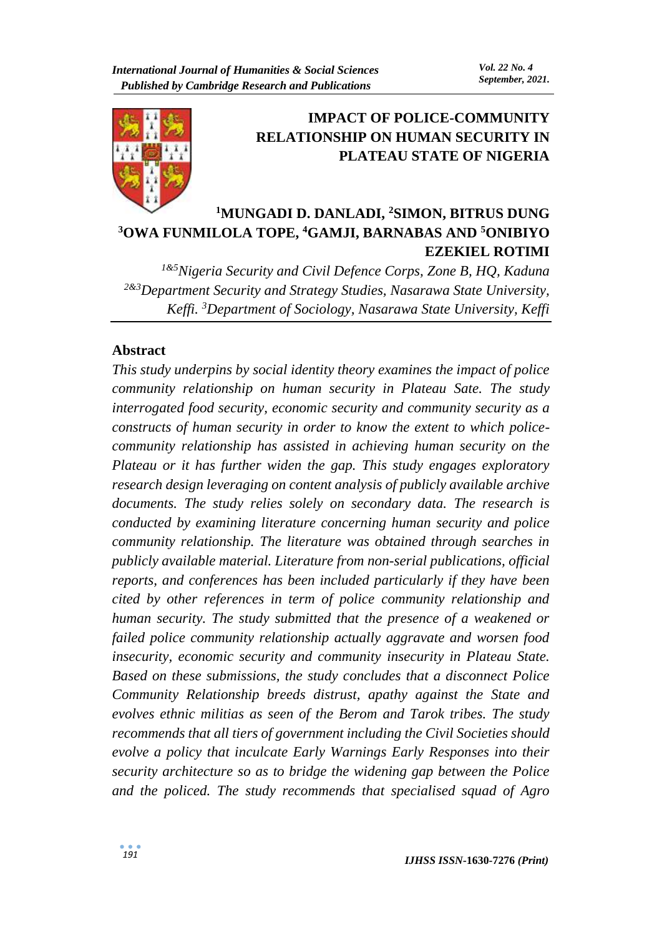

# **IMPACT OF POLICE-COMMUNITY RELATIONSHIP ON HUMAN SECURITY IN PLATEAU STATE OF NIGERIA**

# **<sup>1</sup>MUNGADI D. DANLADI, <sup>2</sup>SIMON, BITRUS DUNG <sup>3</sup>OWA FUNMILOLA TOPE, <sup>4</sup>GAMJI, BARNABAS AND <sup>5</sup>ONIBIYO EZEKIEL ROTIMI**

*1&5Nigeria Security and Civil Defence Corps, Zone B, HQ, Kaduna 2&3Department Security and Strategy Studies, Nasarawa State University, Keffi. <sup>3</sup>Department of Sociology, Nasarawa State University, Keffi*

#### **Abstract**

*This study underpins by social identity theory examines the impact of police community relationship on human security in Plateau Sate. The study interrogated food security, economic security and community security as a constructs of human security in order to know the extent to which policecommunity relationship has assisted in achieving human security on the Plateau or it has further widen the gap. This study engages exploratory research design leveraging on content analysis of publicly available archive documents. The study relies solely on secondary data. The research is conducted by examining literature concerning human security and police community relationship. The literature was obtained through searches in publicly available material. Literature from non-serial publications, official reports, and conferences has been included particularly if they have been cited by other references in term of police community relationship and human security. The study submitted that the presence of a weakened or failed police community relationship actually aggravate and worsen food insecurity, economic security and community insecurity in Plateau State. Based on these submissions, the study concludes that a disconnect Police Community Relationship breeds distrust, apathy against the State and evolves ethnic militias as seen of the Berom and Tarok tribes. The study recommends that all tiers of government including the Civil Societies should evolve a policy that inculcate Early Warnings Early Responses into their security architecture so as to bridge the widening gap between the Police and the policed. The study recommends that specialised squad of Agro*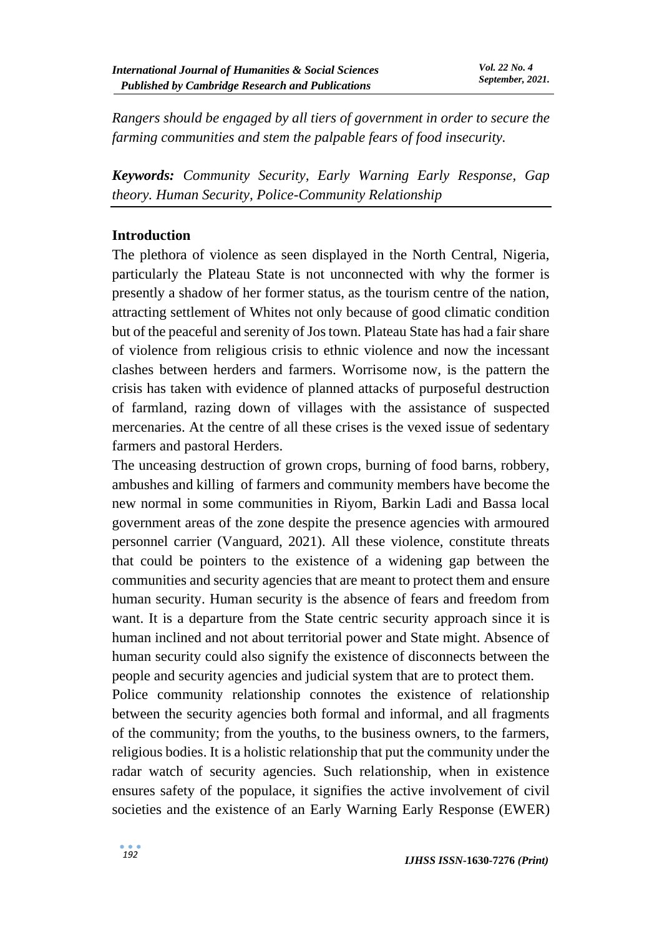*Rangers should be engaged by all tiers of government in order to secure the farming communities and stem the palpable fears of food insecurity.* 

*Keywords: Community Security, Early Warning Early Response, Gap theory. Human Security, Police-Community Relationship* 

#### **Introduction**

The plethora of violence as seen displayed in the North Central, Nigeria, particularly the Plateau State is not unconnected with why the former is presently a shadow of her former status, as the tourism centre of the nation, attracting settlement of Whites not only because of good climatic condition but of the peaceful and serenity of Jos town. Plateau State has had a fair share of violence from religious crisis to ethnic violence and now the incessant clashes between herders and farmers. Worrisome now, is the pattern the crisis has taken with evidence of planned attacks of purposeful destruction of farmland, razing down of villages with the assistance of suspected mercenaries. At the centre of all these crises is the vexed issue of sedentary farmers and pastoral Herders.

The unceasing destruction of grown crops, burning of food barns, robbery, ambushes and killing of farmers and community members have become the new normal in some communities in Riyom, Barkin Ladi and Bassa local government areas of the zone despite the presence agencies with armoured personnel carrier (Vanguard, 2021). All these violence, constitute threats that could be pointers to the existence of a widening gap between the communities and security agencies that are meant to protect them and ensure human security. Human security is the absence of fears and freedom from want. It is a departure from the State centric security approach since it is human inclined and not about territorial power and State might. Absence of human security could also signify the existence of disconnects between the people and security agencies and judicial system that are to protect them.

Police community relationship connotes the existence of relationship between the security agencies both formal and informal, and all fragments of the community; from the youths, to the business owners, to the farmers, religious bodies. It is a holistic relationship that put the community under the radar watch of security agencies. Such relationship, when in existence ensures safety of the populace, it signifies the active involvement of civil societies and the existence of an Early Warning Early Response (EWER)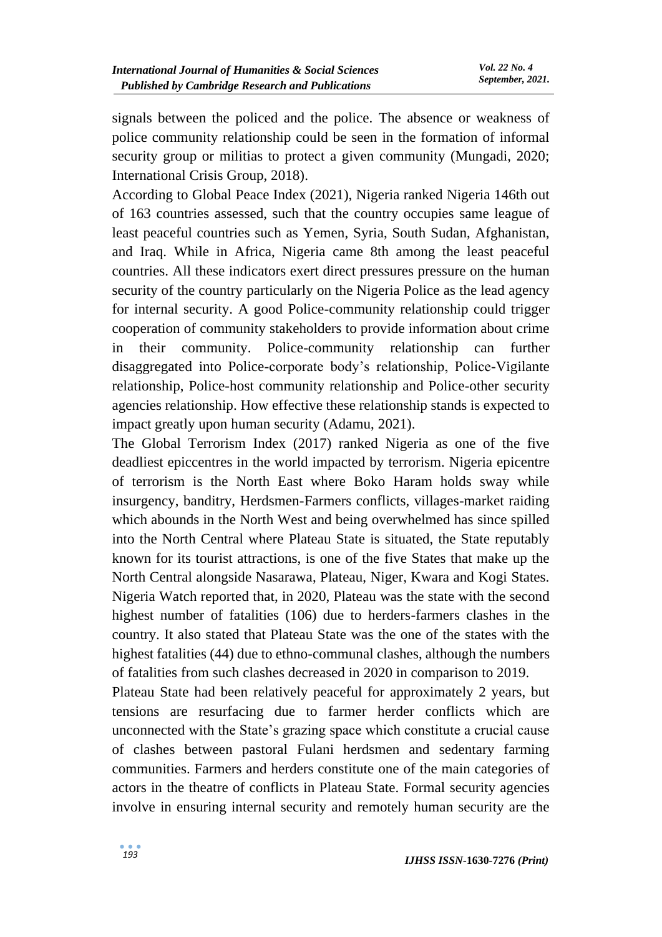signals between the policed and the police. The absence or weakness of police community relationship could be seen in the formation of informal security group or militias to protect a given community (Mungadi, 2020; International Crisis Group, 2018).

According to Global Peace Index (2021), Nigeria ranked Nigeria 146th out of 163 countries assessed, such that the country occupies same league of least peaceful countries such as Yemen, Syria, South Sudan, Afghanistan, and Iraq. While in Africa, Nigeria came 8th among the least peaceful countries. All these indicators exert direct pressures pressure on the human security of the country particularly on the Nigeria Police as the lead agency for internal security. A good Police-community relationship could trigger cooperation of community stakeholders to provide information about crime in their community. Police-community relationship can further disaggregated into Police-corporate body's relationship, Police-Vigilante relationship, Police-host community relationship and Police-other security agencies relationship. How effective these relationship stands is expected to impact greatly upon human security (Adamu, 2021).

The Global Terrorism Index (2017) ranked Nigeria as one of the five deadliest epiccentres in the world impacted by terrorism. Nigeria epicentre of terrorism is the North East where Boko Haram holds sway while insurgency, banditry, Herdsmen-Farmers conflicts, villages-market raiding which abounds in the North West and being overwhelmed has since spilled into the North Central where Plateau State is situated, the State reputably known for its tourist attractions, is one of the five States that make up the North Central alongside Nasarawa, Plateau, Niger, Kwara and Kogi States. Nigeria Watch reported that, in 2020, Plateau was the state with the second highest number of fatalities (106) due to herders-farmers clashes in the country. It also stated that Plateau State was the one of the states with the highest fatalities (44) due to ethno-communal clashes, although the numbers of fatalities from such clashes decreased in 2020 in comparison to 2019.

Plateau State had been relatively peaceful for approximately 2 years, but tensions are resurfacing due to farmer herder conflicts which are unconnected with the State's grazing space which constitute a crucial cause of clashes between pastoral Fulani herdsmen and sedentary farming communities. Farmers and herders constitute one of the main categories of actors in the theatre of conflicts in Plateau State. Formal security agencies involve in ensuring internal security and remotely human security are the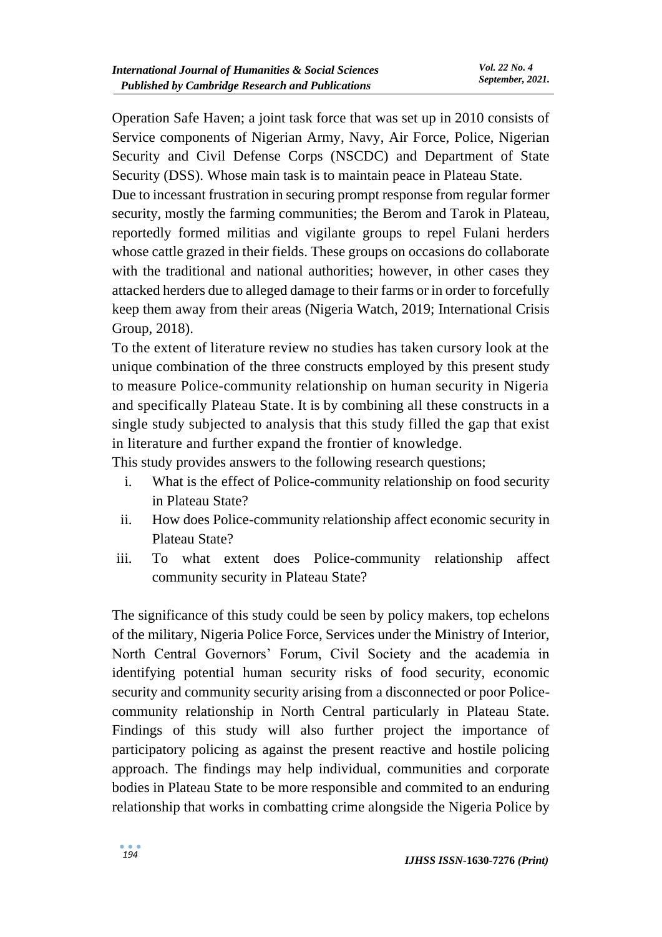Operation Safe Haven; a joint task force that was set up in 2010 consists of Service components of Nigerian Army, Navy, Air Force, Police, Nigerian Security and Civil Defense Corps (NSCDC) and Department of State Security (DSS). Whose main task is to maintain peace in Plateau State.

Due to incessant frustration in securing prompt response from regular former security, mostly the farming communities; the Berom and Tarok in Plateau, reportedly formed militias and vigilante groups to repel Fulani herders whose cattle grazed in their fields. These groups on occasions do collaborate with the traditional and national authorities; however, in other cases they attacked herders due to alleged damage to their farms or in order to forcefully keep them away from their areas (Nigeria Watch, 2019; International Crisis Group, 2018).

To the extent of literature review no studies has taken cursory look at the unique combination of the three constructs employed by this present study to measure Police-community relationship on human security in Nigeria and specifically Plateau State. It is by combining all these constructs in a single study subjected to analysis that this study filled the gap that exist in literature and further expand the frontier of knowledge.

This study provides answers to the following research questions;

- i. What is the effect of Police-community relationship on food security in Plateau State?
- ii. How does Police-community relationship affect economic security in Plateau State?
- iii. To what extent does Police-community relationship affect community security in Plateau State?

The significance of this study could be seen by policy makers, top echelons of the military, Nigeria Police Force, Services under the Ministry of Interior, North Central Governors' Forum, Civil Society and the academia in identifying potential human security risks of food security, economic security and community security arising from a disconnected or poor Policecommunity relationship in North Central particularly in Plateau State. Findings of this study will also further project the importance of participatory policing as against the present reactive and hostile policing approach. The findings may help individual, communities and corporate bodies in Plateau State to be more responsible and commited to an enduring relationship that works in combatting crime alongside the Nigeria Police by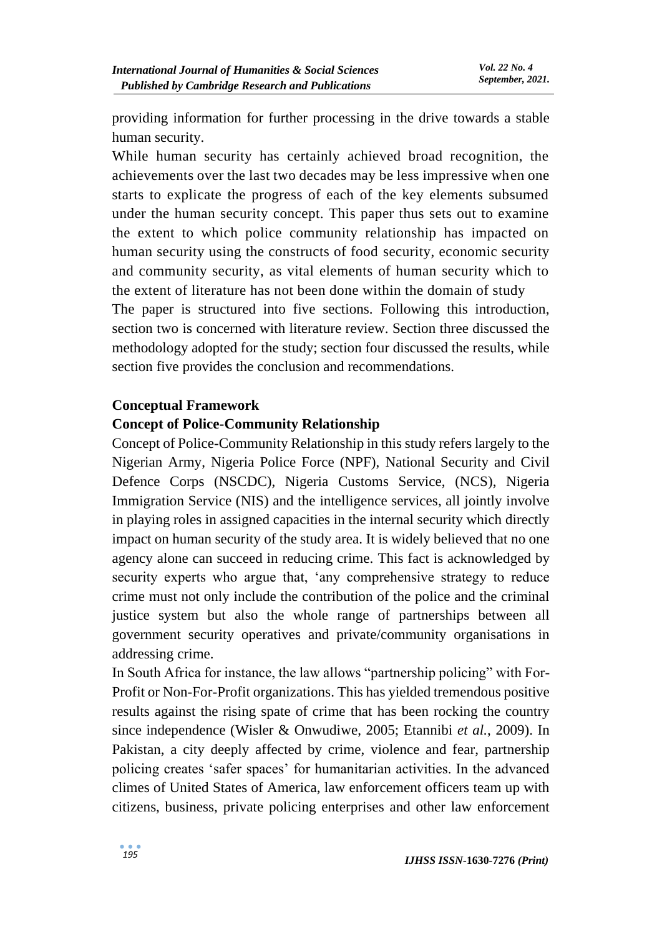providing information for further processing in the drive towards a stable human security.

While human security has certainly achieved broad recognition, the achievements over the last two decades may be less impressive when one starts to explicate the progress of each of the key elements subsumed under the human security concept. This paper thus sets out to examine the extent to which police community relationship has impacted on human security using the constructs of food security, economic security and community security, as vital elements of human security which to the extent of literature has not been done within the domain of study The paper is structured into five sections. Following this introduction, section two is concerned with literature review. Section three discussed the methodology adopted for the study; section four discussed the results, while

#### **Conceptual Framework**

#### **Concept of Police-Community Relationship**

section five provides the conclusion and recommendations.

Concept of Police-Community Relationship in this study refers largely to the Nigerian Army, Nigeria Police Force (NPF), National Security and Civil Defence Corps (NSCDC), Nigeria Customs Service, (NCS), Nigeria Immigration Service (NIS) and the intelligence services, all jointly involve in playing roles in assigned capacities in the internal security which directly impact on human security of the study area. It is widely believed that no one agency alone can succeed in reducing crime. This fact is acknowledged by security experts who argue that, 'any comprehensive strategy to reduce crime must not only include the contribution of the police and the criminal justice system but also the whole range of partnerships between all government security operatives and private/community organisations in addressing crime.

In South Africa for instance, the law allows "partnership policing" with For-Profit or Non-For-Profit organizations. This has yielded tremendous positive results against the rising spate of crime that has been rocking the country since independence (Wisler & Onwudiwe, 2005; Etannibi *et al.*, 2009). In Pakistan, a city deeply affected by crime, violence and fear, partnership policing creates 'safer spaces' for humanitarian activities. In the advanced climes of United States of America, law enforcement officers team up with citizens, business, private policing enterprises and other law enforcement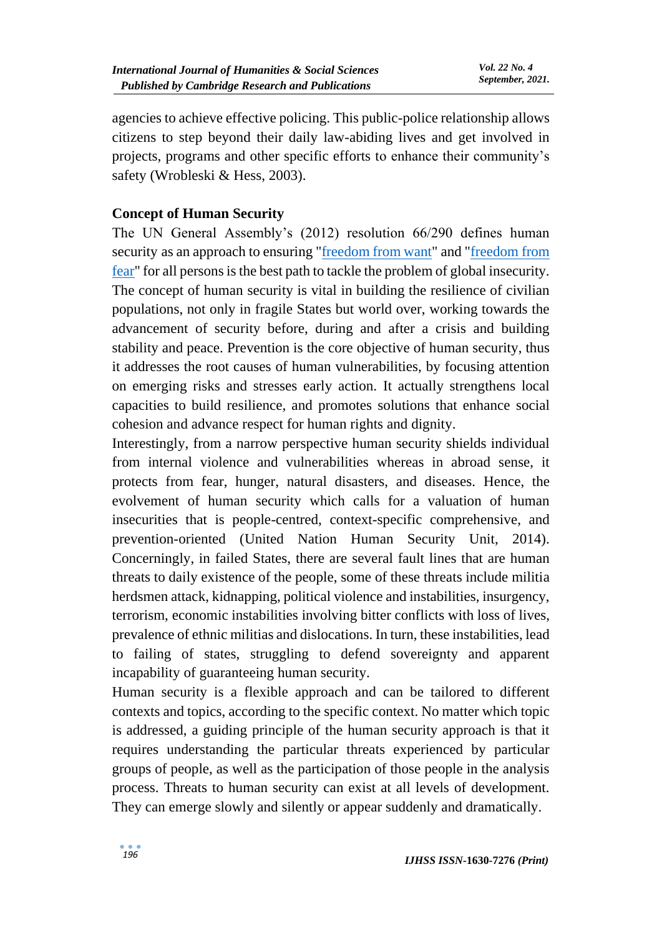agencies to achieve effective policing. This public-police relationship allows citizens to step beyond their daily law-abiding lives and get involved in projects, programs and other specific efforts to enhance their community's safety (Wrobleski & Hess, 2003).

### **Concept of Human Security**

The UN General Assembly's (2012) resolution 66/290 defines human security as an approach to ensuring ["freedom from want"](https://en.wikipedia.org/wiki/Freedom_from_want) and ["freedom from](https://en.wikipedia.org/wiki/Freedom_from_fear)  [fear"](https://en.wikipedia.org/wiki/Freedom_from_fear) for all persons is the best path to tackle the problem of global insecurity. The concept of human security is vital in building the resilience of civilian populations, not only in fragile States but world over, working towards the advancement of security before, during and after a crisis and building stability and peace. Prevention is the core objective of human security, thus it addresses the root causes of human vulnerabilities, by focusing attention on emerging risks and stresses early action. It actually strengthens local capacities to build resilience, and promotes solutions that enhance social cohesion and advance respect for human rights and dignity.

Interestingly, from a narrow perspective human security shields individual from internal violence and vulnerabilities whereas in abroad sense, it protects from fear, hunger, natural disasters, and diseases. Hence, the evolvement of human security which calls for a valuation of human insecurities that is people-centred, context-specific comprehensive, and prevention-oriented (United Nation Human Security Unit, 2014). Concerningly, in failed States, there are several fault lines that are human threats to daily existence of the people, some of these threats include militia herdsmen attack, kidnapping, political violence and instabilities, insurgency, terrorism, economic instabilities involving bitter conflicts with loss of lives, prevalence of ethnic militias and dislocations. In turn, these instabilities, lead to failing of states, struggling to defend sovereignty and apparent incapability of guaranteeing human security.

Human security is a flexible approach and can be tailored to different contexts and topics, according to the specific context. No matter which topic is addressed, a guiding principle of the human security approach is that it requires understanding the particular threats experienced by particular groups of people, as well as the participation of those people in the analysis process. Threats to human security can exist at all levels of development. They can emerge slowly and silently or appear suddenly and dramatically.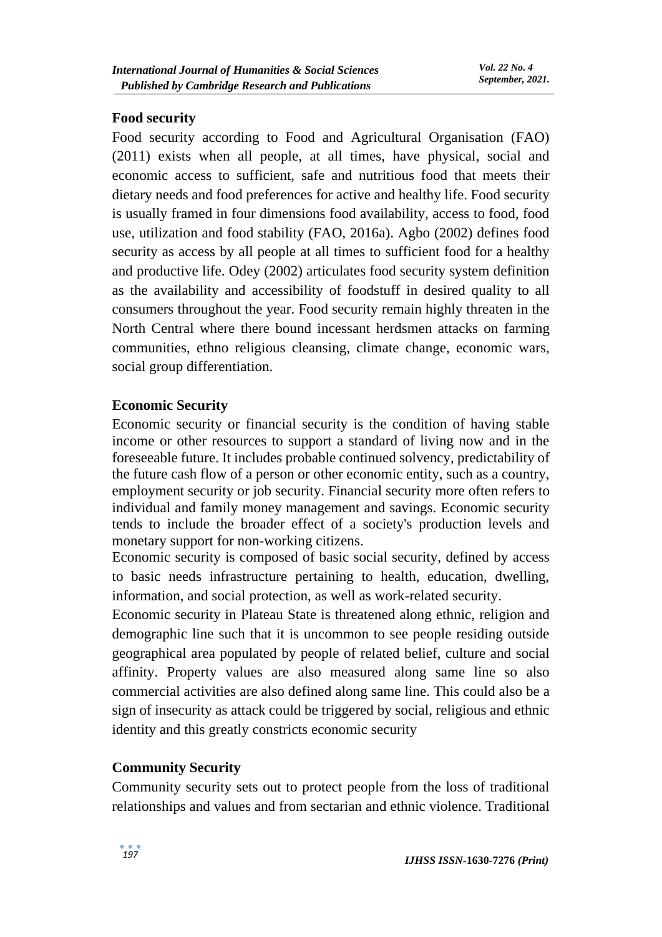### **Food security**

Food security according to Food and Agricultural Organisation (FAO) (2011) exists when all people, at all times, have physical, social and economic access to sufficient, safe and nutritious food that meets their dietary needs and food preferences for active and healthy life. Food security is usually framed in four dimensions food availability, access to food, food use, utilization and food stability (FAO, 2016a). Agbo (2002) defines food security as access by all people at all times to sufficient food for a healthy and productive life. Odey (2002) articulates food security system definition as the availability and accessibility of foodstuff in desired quality to all consumers throughout the year. Food security remain highly threaten in the North Central where there bound incessant herdsmen attacks on farming communities, ethno religious cleansing, climate change, economic wars, social group differentiation.

#### **Economic Security**

Economic security or financial security is the condition of having stable income or other resources to support a standard of living now and in the foreseeable future. It includes probable continued solvency, predictability of the future cash flow of a person or other economic entity, such as a country, employment security or job security. Financial security more often refers to individual and family money management and savings. Economic security tends to include the broader effect of a society's production levels and monetary support for non-working citizens.

Economic security is composed of basic social security, defined by access to basic needs infrastructure pertaining to health, education, dwelling, information, and social protection, as well as work-related security.

Economic security in Plateau State is threatened along ethnic, religion and demographic line such that it is uncommon to see people residing outside geographical area populated by people of related belief, culture and social affinity. Property values are also measured along same line so also commercial activities are also defined along same line. This could also be a sign of insecurity as attack could be triggered by social, religious and ethnic identity and this greatly constricts economic security

## **Community Security**

Community security sets out to protect people from the loss of traditional relationships and values and from sectarian and ethnic violence. Traditional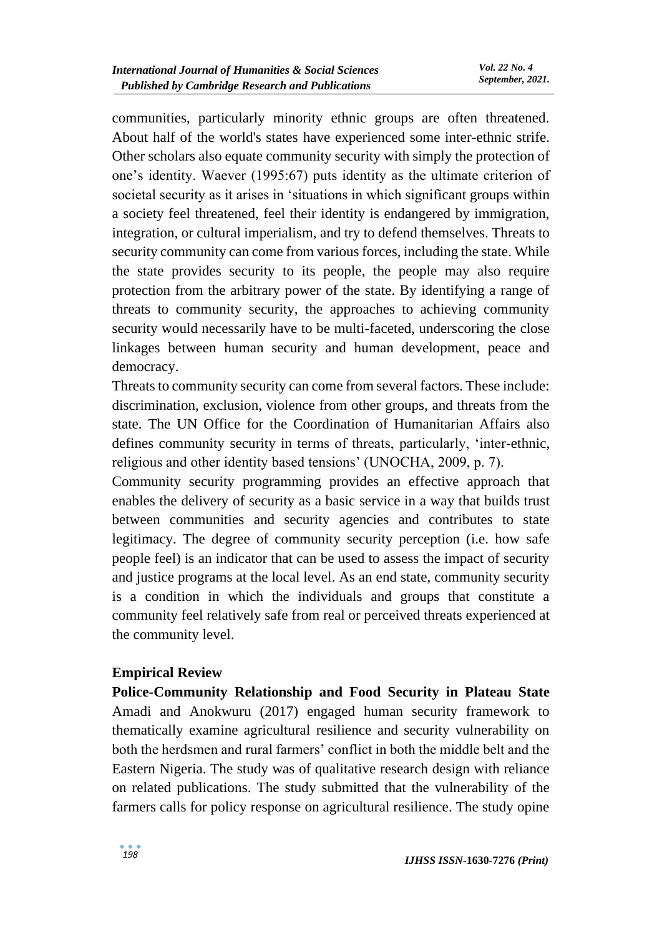communities, particularly minority ethnic groups are often threatened. About half of the world's states have experienced some inter-ethnic strife. Other scholars also equate community security with simply the protection of one's identity. Waever (1995:67) puts identity as the ultimate criterion of societal security as it arises in 'situations in which significant groups within a society feel threatened, feel their identity is endangered by immigration, integration, or cultural imperialism, and try to defend themselves. Threats to security community can come from various forces, including the state. While the state provides security to its people, the people may also require protection from the arbitrary power of the state. By identifying a range of threats to community security, the approaches to achieving community security would necessarily have to be multi-faceted, underscoring the close linkages between human security and human development, peace and democracy.

Threats to community security can come from several factors. These include: discrimination, exclusion, violence from other groups, and threats from the state. The UN Office for the Coordination of Humanitarian Affairs also defines community security in terms of threats, particularly, 'inter-ethnic, religious and other identity based tensions' (UNOCHA, 2009, p. 7).

Community security programming provides an effective approach that enables the delivery of security as a basic service in a way that builds trust between communities and security agencies and contributes to state legitimacy. The degree of community security perception (i.e. how safe people feel) is an indicator that can be used to assess the impact of security and justice programs at the local level. As an end state, community security is a condition in which the individuals and groups that constitute a community feel relatively safe from real or perceived threats experienced at the community level.

#### **Empirical Review**

**Police-Community Relationship and Food Security in Plateau State** Amadi and Anokwuru (2017) engaged human security framework to thematically examine agricultural resilience and security vulnerability on both the herdsmen and rural farmers' conflict in both the middle belt and the Eastern Nigeria. The study was of qualitative research design with reliance on related publications. The study submitted that the vulnerability of the farmers calls for policy response on agricultural resilience. The study opine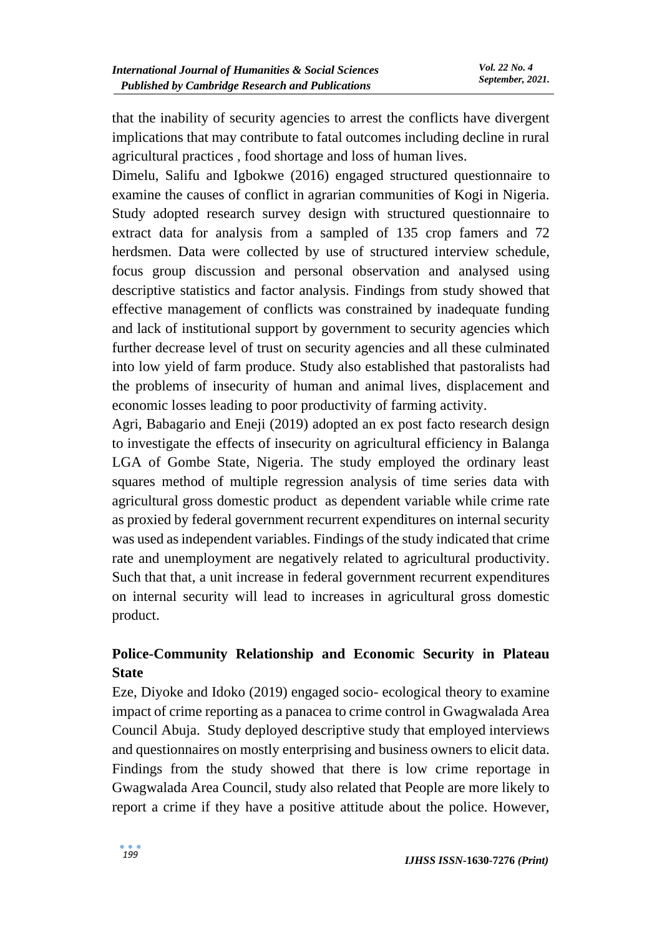that the inability of security agencies to arrest the conflicts have divergent implications that may contribute to fatal outcomes including decline in rural agricultural practices , food shortage and loss of human lives.

Dimelu, Salifu and Igbokwe (2016) engaged structured questionnaire to examine the causes of conflict in agrarian communities of Kogi in Nigeria. Study adopted research survey design with structured questionnaire to extract data for analysis from a sampled of 135 crop famers and 72 herdsmen. Data were collected by use of structured interview schedule, focus group discussion and personal observation and analysed using descriptive statistics and factor analysis. Findings from study showed that effective management of conflicts was constrained by inadequate funding and lack of institutional support by government to security agencies which further decrease level of trust on security agencies and all these culminated into low yield of farm produce. Study also established that pastoralists had the problems of insecurity of human and animal lives, displacement and economic losses leading to poor productivity of farming activity.

Agri, Babagario and Eneji (2019) adopted an ex post facto research design to investigate the effects of insecurity on agricultural efficiency in Balanga LGA of Gombe State, Nigeria. The study employed the ordinary least squares method of multiple regression analysis of time series data with agricultural gross domestic product as dependent variable while crime rate as proxied by federal government recurrent expenditures on internal security was used as independent variables. Findings of the study indicated that crime rate and unemployment are negatively related to agricultural productivity. Such that that, a unit increase in federal government recurrent expenditures on internal security will lead to increases in agricultural gross domestic product.

# **Police-Community Relationship and Economic Security in Plateau State**

Eze, Diyoke and Idoko (2019) engaged socio- ecological theory to examine impact of crime reporting as a panacea to crime control in Gwagwalada Area Council Abuja. Study deployed descriptive study that employed interviews and questionnaires on mostly enterprising and business owners to elicit data. Findings from the study showed that there is low crime reportage in Gwagwalada Area Council, study also related that People are more likely to report a crime if they have a positive attitude about the police. However,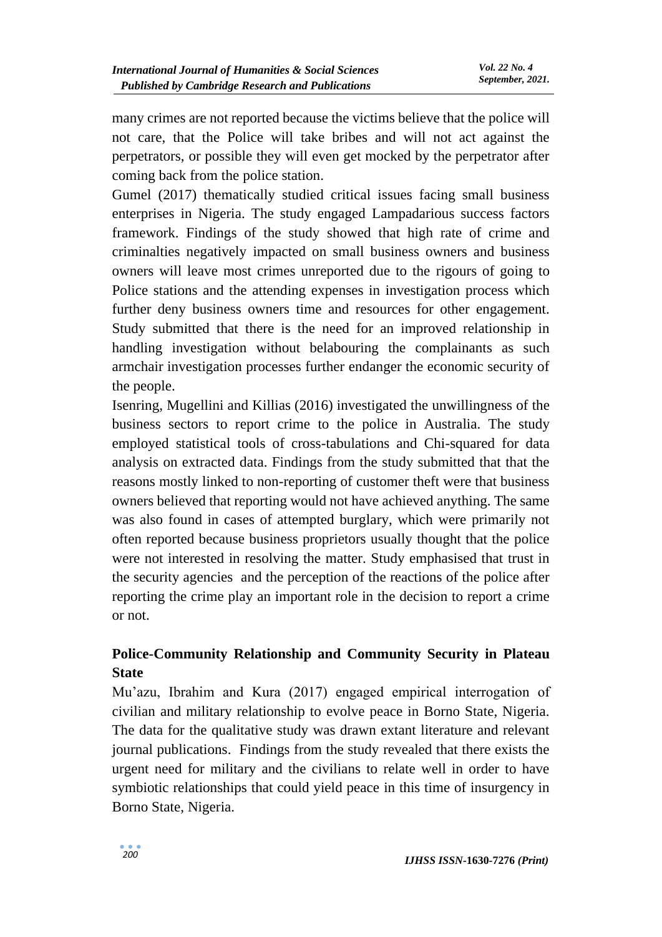many crimes are not reported because the victims believe that the police will not care, that the Police will take bribes and will not act against the perpetrators, or possible they will even get mocked by the perpetrator after coming back from the police station.

Gumel (2017) thematically studied critical issues facing small business enterprises in Nigeria. The study engaged Lampadarious success factors framework. Findings of the study showed that high rate of crime and criminalties negatively impacted on small business owners and business owners will leave most crimes unreported due to the rigours of going to Police stations and the attending expenses in investigation process which further deny business owners time and resources for other engagement. Study submitted that there is the need for an improved relationship in handling investigation without belabouring the complainants as such armchair investigation processes further endanger the economic security of the people.

Isenring, Mugellini and Killias (2016) investigated the unwillingness of the business sectors to report crime to the police in Australia. The study employed statistical tools of cross-tabulations and Chi-squared for data analysis on extracted data. Findings from the study submitted that that the reasons mostly linked to non-reporting of customer theft were that business owners believed that reporting would not have achieved anything. The same was also found in cases of attempted burglary, which were primarily not often reported because business proprietors usually thought that the police were not interested in resolving the matter. Study emphasised that trust in the security agencies and the perception of the reactions of the police after reporting the crime play an important role in the decision to report a crime or not.

# **Police-Community Relationship and Community Security in Plateau State**

Mu'azu, Ibrahim and Kura (2017) engaged empirical interrogation of civilian and military relationship to evolve peace in Borno State, Nigeria. The data for the qualitative study was drawn extant literature and relevant journal publications. Findings from the study revealed that there exists the urgent need for military and the civilians to relate well in order to have symbiotic relationships that could yield peace in this time of insurgency in Borno State, Nigeria.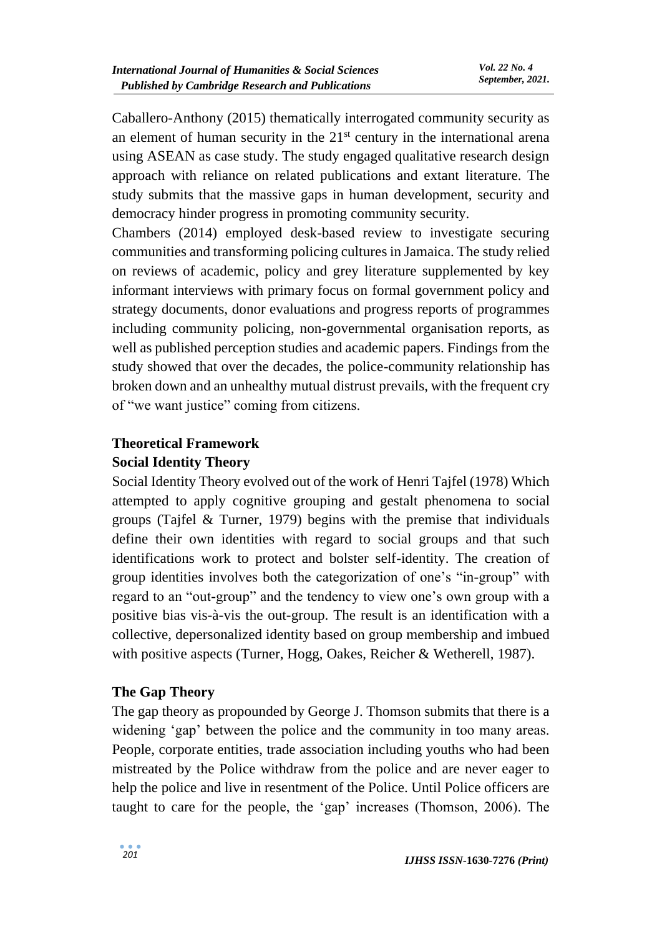Caballero-Anthony (2015) thematically interrogated community security as an element of human security in the  $21<sup>st</sup>$  century in the international arena using ASEAN as case study. The study engaged qualitative research design approach with reliance on related publications and extant literature. The study submits that the massive gaps in human development, security and democracy hinder progress in promoting community security.

Chambers (2014) employed desk-based review to investigate securing communities and transforming policing cultures in Jamaica. The study relied on reviews of academic, policy and grey literature supplemented by key informant interviews with primary focus on formal government policy and strategy documents, donor evaluations and progress reports of programmes including community policing, non-governmental organisation reports, as well as published perception studies and academic papers. Findings from the study showed that over the decades, the police-community relationship has broken down and an unhealthy mutual distrust prevails, with the frequent cry of "we want justice" coming from citizens.

## **Theoretical Framework Social Identity Theory**

Social Identity Theory evolved out of the work of Henri Tajfel (1978) Which attempted to apply cognitive grouping and gestalt phenomena to social groups (Tajfel & Turner, 1979) begins with the premise that individuals define their own identities with regard to social groups and that such identifications work to protect and bolster self-identity. The creation of group identities involves both the categorization of one's "in-group" with regard to an "out-group" and the tendency to view one's own group with a positive bias vis-à-vis the out-group. The result is an identification with a collective, depersonalized identity based on group membership and imbued with positive aspects (Turner, Hogg, Oakes, Reicher & Wetherell, 1987).

## **The Gap Theory**

The gap theory as propounded by George J. Thomson submits that there is a widening 'gap' between the police and the community in too many areas. People, corporate entities, trade association including youths who had been mistreated by the Police withdraw from the police and are never eager to help the police and live in resentment of the Police. Until Police officers are taught to care for the people, the 'gap' increases (Thomson, 2006). The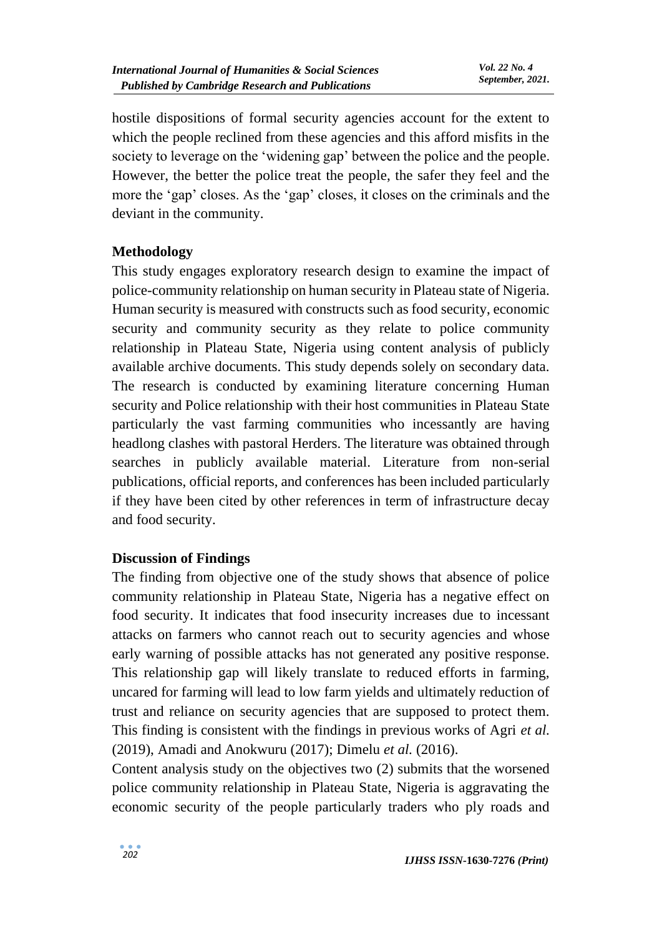hostile dispositions of formal security agencies account for the extent to which the people reclined from these agencies and this afford misfits in the society to leverage on the 'widening gap' between the police and the people. However, the better the police treat the people, the safer they feel and the more the 'gap' closes. As the 'gap' closes, it closes on the criminals and the deviant in the community.

## **Methodology**

This study engages exploratory research design to examine the impact of police-community relationship on human security in Plateau state of Nigeria. Human security is measured with constructs such as food security, economic security and community security as they relate to police community relationship in Plateau State, Nigeria using content analysis of publicly available archive documents. This study depends solely on secondary data. The research is conducted by examining literature concerning Human security and Police relationship with their host communities in Plateau State particularly the vast farming communities who incessantly are having headlong clashes with pastoral Herders. The literature was obtained through searches in publicly available material. Literature from non-serial publications, official reports, and conferences has been included particularly if they have been cited by other references in term of infrastructure decay and food security.

## **Discussion of Findings**

The finding from objective one of the study shows that absence of police community relationship in Plateau State, Nigeria has a negative effect on food security. It indicates that food insecurity increases due to incessant attacks on farmers who cannot reach out to security agencies and whose early warning of possible attacks has not generated any positive response. This relationship gap will likely translate to reduced efforts in farming, uncared for farming will lead to low farm yields and ultimately reduction of trust and reliance on security agencies that are supposed to protect them. This finding is consistent with the findings in previous works of Agri *et al.* (2019), Amadi and Anokwuru (2017); Dimelu *et al.* (2016).

Content analysis study on the objectives two (2) submits that the worsened police community relationship in Plateau State, Nigeria is aggravating the economic security of the people particularly traders who ply roads and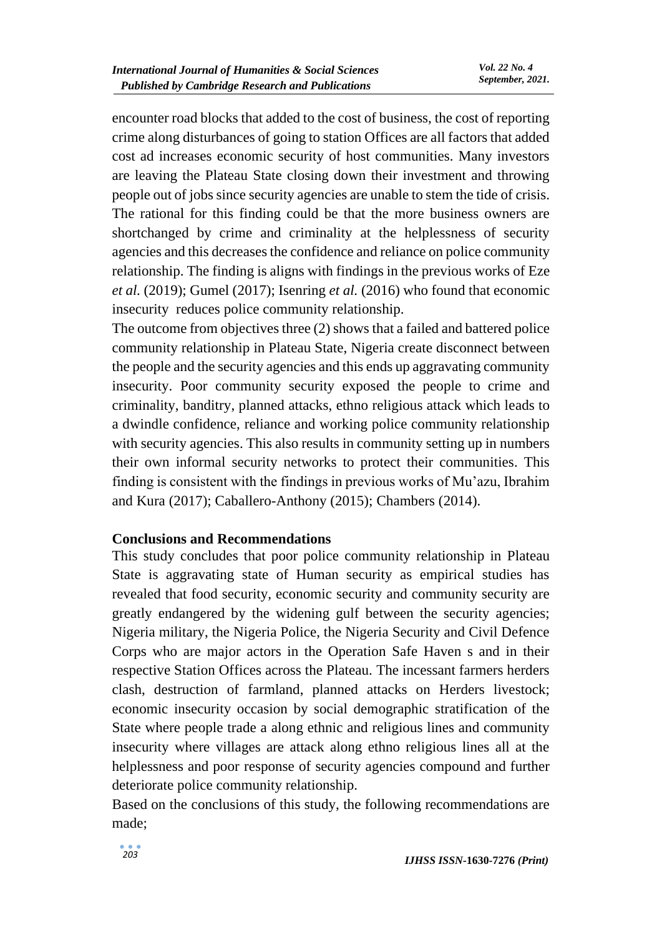encounter road blocks that added to the cost of business, the cost of reporting crime along disturbances of going to station Offices are all factors that added cost ad increases economic security of host communities. Many investors are leaving the Plateau State closing down their investment and throwing people out of jobs since security agencies are unable to stem the tide of crisis. The rational for this finding could be that the more business owners are shortchanged by crime and criminality at the helplessness of security agencies and this decreases the confidence and reliance on police community relationship. The finding is aligns with findings in the previous works of Eze *et al.* (2019); Gumel (2017); Isenring *et al.* (2016) who found that economic insecurity reduces police community relationship.

The outcome from objectives three (2) shows that a failed and battered police community relationship in Plateau State, Nigeria create disconnect between the people and the security agencies and this ends up aggravating community insecurity. Poor community security exposed the people to crime and criminality, banditry, planned attacks, ethno religious attack which leads to a dwindle confidence, reliance and working police community relationship with security agencies. This also results in community setting up in numbers their own informal security networks to protect their communities. This finding is consistent with the findings in previous works of Mu'azu, Ibrahim and Kura (2017); Caballero-Anthony (2015); Chambers (2014).

#### **Conclusions and Recommendations**

This study concludes that poor police community relationship in Plateau State is aggravating state of Human security as empirical studies has revealed that food security, economic security and community security are greatly endangered by the widening gulf between the security agencies; Nigeria military, the Nigeria Police, the Nigeria Security and Civil Defence Corps who are major actors in the Operation Safe Haven s and in their respective Station Offices across the Plateau. The incessant farmers herders clash, destruction of farmland, planned attacks on Herders livestock; economic insecurity occasion by social demographic stratification of the State where people trade a along ethnic and religious lines and community insecurity where villages are attack along ethno religious lines all at the helplessness and poor response of security agencies compound and further deteriorate police community relationship.

Based on the conclusions of this study, the following recommendations are made;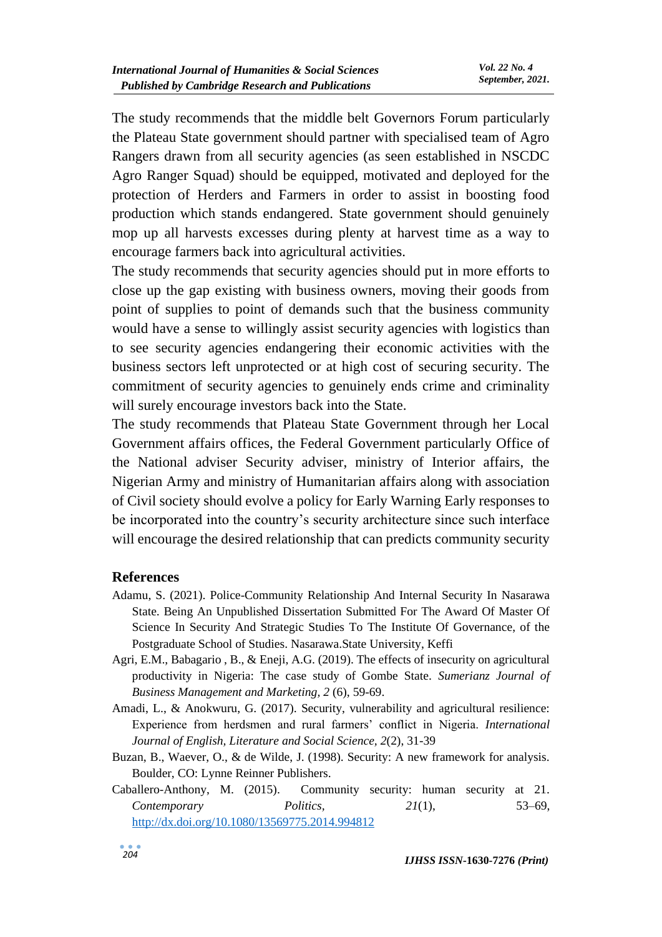The study recommends that the middle belt Governors Forum particularly the Plateau State government should partner with specialised team of Agro Rangers drawn from all security agencies (as seen established in NSCDC Agro Ranger Squad) should be equipped, motivated and deployed for the protection of Herders and Farmers in order to assist in boosting food production which stands endangered. State government should genuinely mop up all harvests excesses during plenty at harvest time as a way to encourage farmers back into agricultural activities.

The study recommends that security agencies should put in more efforts to close up the gap existing with business owners, moving their goods from point of supplies to point of demands such that the business community would have a sense to willingly assist security agencies with logistics than to see security agencies endangering their economic activities with the business sectors left unprotected or at high cost of securing security. The commitment of security agencies to genuinely ends crime and criminality will surely encourage investors back into the State.

The study recommends that Plateau State Government through her Local Government affairs offices, the Federal Government particularly Office of the National adviser Security adviser, ministry of Interior affairs, the Nigerian Army and ministry of Humanitarian affairs along with association of Civil society should evolve a policy for Early Warning Early responses to be incorporated into the country's security architecture since such interface will encourage the desired relationship that can predicts community security

#### **References**

- Adamu, S. (2021). Police-Community Relationship And Internal Security In Nasarawa State. Being An Unpublished Dissertation Submitted For The Award Of Master Of Science In Security And Strategic Studies To The Institute Of Governance, of the Postgraduate School of Studies. Nasarawa.State University, Keffi
- Agri, E.M., Babagario , B., & Eneji, A.G. (2019). The effects of insecurity on agricultural productivity in Nigeria: The case study of Gombe State. *Sumerianz Journal of Business Management and Marketing, 2* (6), 59-69.
- Amadi, L., & Anokwuru, G. (2017). Security, vulnerability and agricultural resilience: Experience from herdsmen and rural farmers' conflict in Nigeria. *International Journal of English, Literature and Social Science, 2*(2), 31-39
- Buzan, B., Waever, O., & de Wilde, J. (1998). Security: A new framework for analysis. Boulder, CO: Lynne Reinner Publishers.
- Caballero-Anthony, M. (2015). Community security: human security at 21. *Contemporary Politics, 21*(1), 53–69, <http://dx.doi.org/10.1080/13569775.2014.994812>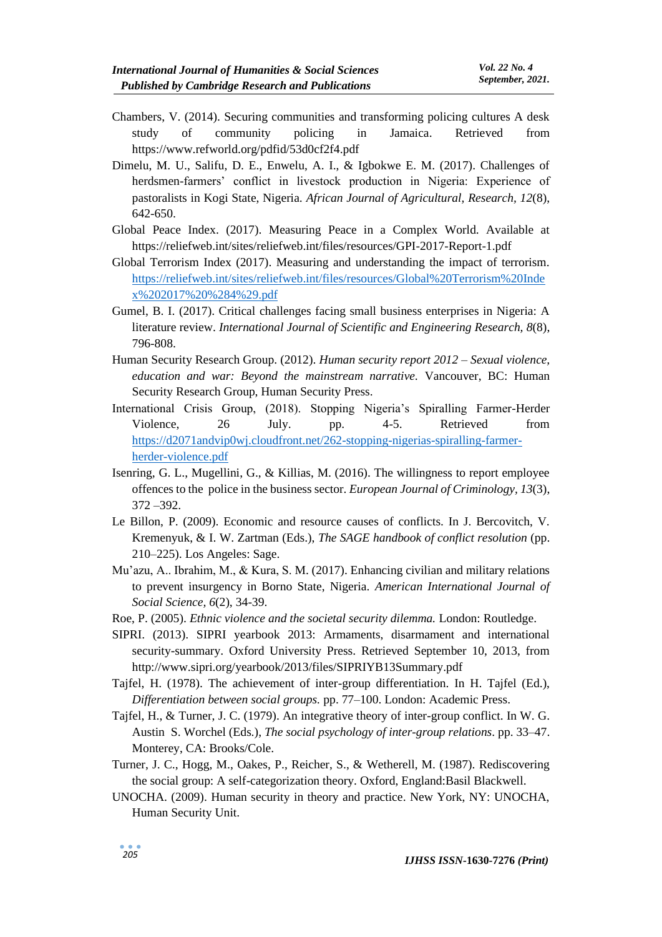- Chambers, V. (2014). Securing communities and transforming policing cultures A desk study of community policing in Jamaica. Retrieved from https://www.refworld.org/pdfid/53d0cf2f4.pdf
- Dimelu, M. U., Salifu, D. E., Enwelu, A. I., & Igbokwe E. M. (2017). Challenges of herdsmen-farmers' conflict in livestock production in Nigeria: Experience of pastoralists in Kogi State, Nigeria. *African Journal of Agricultural, Research, 12*(8), 642-650.
- Global Peace Index. (2017). Measuring Peace in a Complex World. Available at https://reliefweb.int/sites/reliefweb.int/files/resources/GPI-2017-Report-1.pdf
- Global Terrorism Index (2017). Measuring and understanding the impact of terrorism. [https://reliefweb.int/sites/reliefweb.int/files/resources/Global%20Terrorism%20Inde](https://reliefweb.int/sites/reliefweb.int/files/resources/Global%20Terrorism%20Index%202017%20%284%29.pdf) [x%202017%20%284%29.pdf](https://reliefweb.int/sites/reliefweb.int/files/resources/Global%20Terrorism%20Index%202017%20%284%29.pdf)
- Gumel, B. I. (2017). Critical challenges facing small business enterprises in Nigeria: A literature review. *International Journal of Scientific and Engineering Research, 8*(8), 796-808.
- Human Security Research Group. (2012). *Human security report 2012 – Sexual violence, education and war: Beyond the mainstream narrative.* Vancouver, BC: Human Security Research Group, Human Security Press.
- International Crisis Group, (2018). Stopping Nigeria's Spiralling Farmer-Herder Violence, 26 July. pp. 4-5. Retrieved from [https://d2071andvip0wj.cloudfront.net/262-stopping-nigerias-spiralling-farmer](https://d2071andvip0wj.cloudfront.net/262-stopping-nigerias-spiralling-farmer-herder-violence.pdf)[herder-violence.pdf](https://d2071andvip0wj.cloudfront.net/262-stopping-nigerias-spiralling-farmer-herder-violence.pdf)
- Isenring, G. L., Mugellini, G., & Killias, M. (2016). The willingness to report employee offences to the police in the business sector. *European Journal of Criminology, 13*(3), 372 –392.
- Le Billon, P. (2009). Economic and resource causes of conflicts. In J. Bercovitch, V. Kremenyuk, & I. W. Zartman (Eds.), *The SAGE handbook of conflict resolution* (pp. 210–225). Los Angeles: Sage.
- Mu'azu, A.. Ibrahim, M., & Kura, S. M. (2017). Enhancing civilian and military relations to prevent insurgency in Borno State, Nigeria. *American International Journal of Social Science, 6*(2), 34-39.
- Roe, P. (2005). *Ethnic violence and the societal security dilemma.* London: Routledge.
- SIPRI. (2013). SIPRI yearbook 2013: Armaments, disarmament and international security-summary. Oxford University Press. Retrieved September 10, 2013, from http://www.sipri.org/yearbook/2013/files/SIPRIYB13Summary.pdf
- Tajfel, H. (1978). The achievement of inter-group differentiation. In H. Tajfel (Ed.), *Differentiation between social groups.* pp. 77–100. London: Academic Press.
- Tajfel, H., & Turner, J. C. (1979). An integrative theory of inter-group conflict. In W. G. Austin S. Worchel (Eds.), *The social psychology of inter-group relations*. pp. 33–47. Monterey, CA: Brooks/Cole.
- Turner, J. C., Hogg, M., Oakes, P., Reicher, S., & Wetherell, M. (1987). Rediscovering the social group: A self-categorization theory. Oxford, England:Basil Blackwell.
- UNOCHA. (2009). Human security in theory and practice. New York, NY: UNOCHA, Human Security Unit.